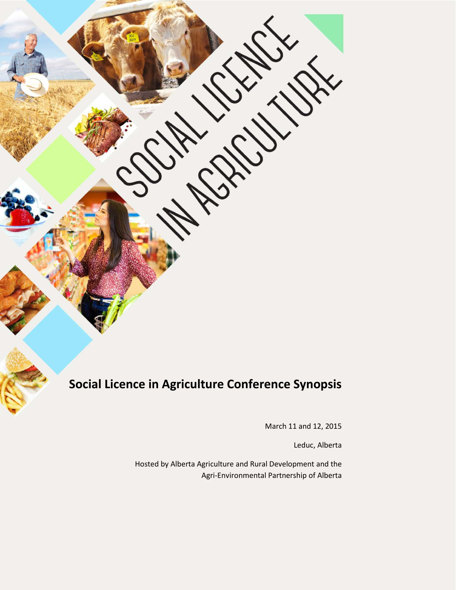# **Social Licence in Agriculture Conference Synopsis**

March 11 and 12, 2015

Leduc, Alberta

Hosted by Alberta Agriculture and Rural Development and the Agri-Environmental Partnership of Alberta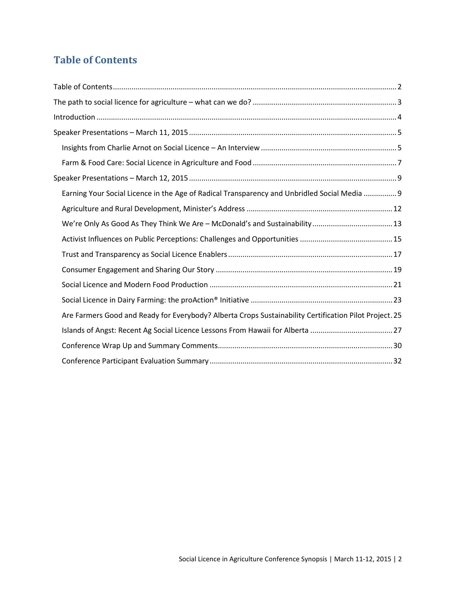# <span id="page-1-0"></span>**Table of Contents**

| Earning Your Social Licence in the Age of Radical Transparency and Unbridled Social Media  9           |
|--------------------------------------------------------------------------------------------------------|
|                                                                                                        |
|                                                                                                        |
|                                                                                                        |
|                                                                                                        |
|                                                                                                        |
|                                                                                                        |
|                                                                                                        |
| Are Farmers Good and Ready for Everybody? Alberta Crops Sustainability Certification Pilot Project. 25 |
| Islands of Angst: Recent Ag Social Licence Lessons From Hawaii for Alberta 27                          |
|                                                                                                        |
|                                                                                                        |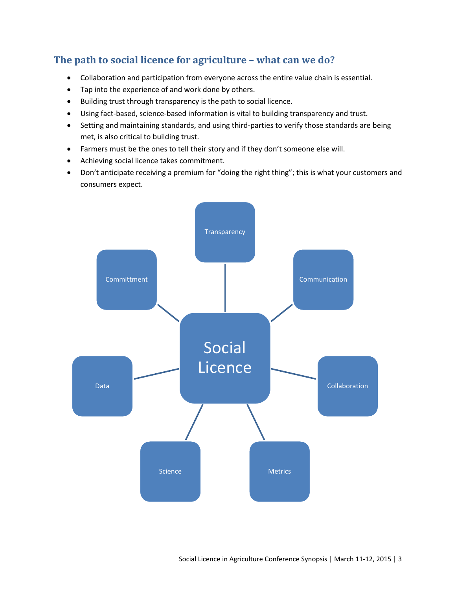## <span id="page-2-0"></span>**The path to social licence for agriculture – what can we do?**

- Collaboration and participation from everyone across the entire value chain is essential.
- Tap into the experience of and work done by others.
- Building trust through transparency is the path to social licence.
- Using fact-based, science-based information is vital to building transparency and trust.
- Setting and maintaining standards, and using third-parties to verify those standards are being met, is also critical to building trust.
- Farmers must be the ones to tell their story and if they don't someone else will.
- Achieving social licence takes commitment.
- Don't anticipate receiving a premium for "doing the right thing"; this is what your customers and consumers expect.

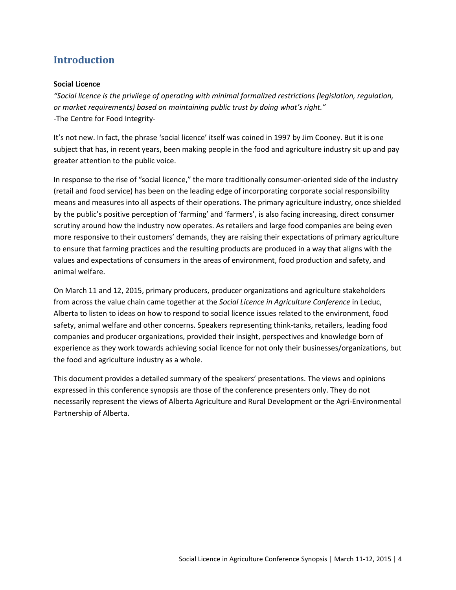# <span id="page-3-0"></span>**Introduction**

### **Social Licence**

*"Social licence is the privilege of operating with minimal formalized restrictions (legislation, regulation, or market requirements) based on maintaining public trust by doing what's right."* -The Centre for Food Integrity-

It's not new. In fact, the phrase 'social licence' itself was coined in 1997 by Jim Cooney. But it is one subject that has, in recent years, been making people in the food and agriculture industry sit up and pay greater attention to the public voice.

In response to the rise of "social licence," the more traditionally consumer-oriented side of the industry (retail and food service) has been on the leading edge of incorporating corporate social responsibility means and measures into all aspects of their operations. The primary agriculture industry, once shielded by the public's positive perception of 'farming' and 'farmers', is also facing increasing, direct consumer scrutiny around how the industry now operates. As retailers and large food companies are being even more responsive to their customers' demands, they are raising their expectations of primary agriculture to ensure that farming practices and the resulting products are produced in a way that aligns with the values and expectations of consumers in the areas of environment, food production and safety, and animal welfare.

On March 11 and 12, 2015, primary producers, producer organizations and agriculture stakeholders from across the value chain came together at the *Social Licence in Agriculture Conference* in Leduc, Alberta to listen to ideas on how to respond to social licence issues related to the environment, food safety, animal welfare and other concerns. Speakers representing think-tanks, retailers, leading food companies and producer organizations, provided their insight, perspectives and knowledge born of experience as they work towards achieving social licence for not only their businesses/organizations, but the food and agriculture industry as a whole.

This document provides a detailed summary of the speakers' presentations. The views and opinions expressed in this conference synopsis are those of the conference presenters only. They do not necessarily represent the views of Alberta Agriculture and Rural Development or the Agri-Environmental Partnership of Alberta.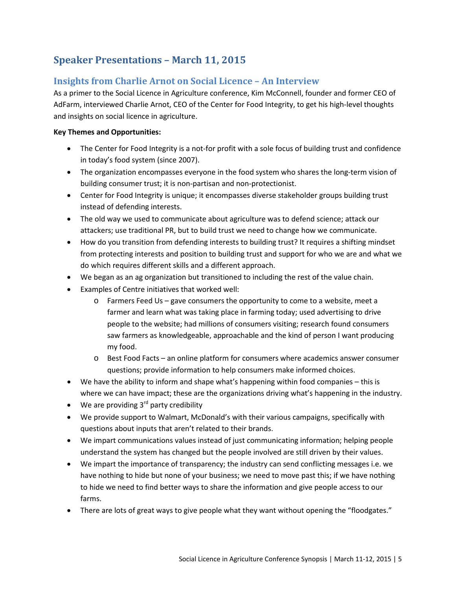# <span id="page-4-0"></span>**Speaker Presentations – March 11, 2015**

### <span id="page-4-1"></span>**Insights from Charlie Arnot on Social Licence – An Interview**

As a primer to the Social Licence in Agriculture conference, Kim McConnell, founder and former CEO of AdFarm, interviewed Charlie Arnot, CEO of the Center for Food Integrity, to get his high-level thoughts and insights on social licence in agriculture.

### **Key Themes and Opportunities:**

- The Center for Food Integrity is a not-for profit with a sole focus of building trust and confidence in today's food system (since 2007).
- The organization encompasses everyone in the food system who shares the long-term vision of building consumer trust; it is non-partisan and non-protectionist.
- Center for Food Integrity is unique; it encompasses diverse stakeholder groups building trust instead of defending interests.
- The old way we used to communicate about agriculture was to defend science; attack our attackers; use traditional PR, but to build trust we need to change how we communicate.
- How do you transition from defending interests to building trust? It requires a shifting mindset from protecting interests and position to building trust and support for who we are and what we do which requires different skills and a different approach.
- We began as an ag organization but transitioned to including the rest of the value chain.
- Examples of Centre initiatives that worked well:
	- o Farmers Feed Us gave consumers the opportunity to come to a website, meet a farmer and learn what was taking place in farming today; used advertising to drive people to the website; had millions of consumers visiting; research found consumers saw farmers as knowledgeable, approachable and the kind of person I want producing my food.
	- o Best Food Facts an online platform for consumers where academics answer consumer questions; provide information to help consumers make informed choices.
- We have the ability to inform and shape what's happening within food companies this is where we can have impact; these are the organizations driving what's happening in the industry.
- We are providing  $3<sup>rd</sup>$  party credibility
- We provide support to Walmart, McDonald's with their various campaigns, specifically with questions about inputs that aren't related to their brands.
- We impart communications values instead of just communicating information; helping people understand the system has changed but the people involved are still driven by their values.
- We impart the importance of transparency; the industry can send conflicting messages i.e. we have nothing to hide but none of your business; we need to move past this; if we have nothing to hide we need to find better ways to share the information and give people access to our farms.
- There are lots of great ways to give people what they want without opening the "floodgates."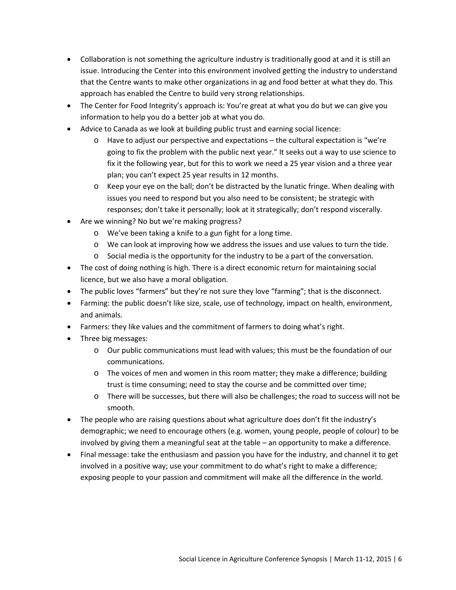- Collaboration is not something the agriculture industry is traditionally good at and it is still an issue. Introducing the Center into this environment involved getting the industry to understand that the Centre wants to make other organizations in ag and food better at what they do. This approach has enabled the Centre to build very strong relationships.
- The Center for Food Integrity's approach is: You're great at what you do but we can give you information to help you do a better job at what you do.
- Advice to Canada as we look at building public trust and earning social licence:
	- o Have to adjust our perspective and expectations the cultural expectation is "we're going to fix the problem with the public next year." It seeks out a way to use science to fix it the following year, but for this to work we need a 25 year vision and a three year plan; you can't expect 25 year results in 12 months.
	- o Keep your eye on the ball; don't be distracted by the lunatic fringe. When dealing with issues you need to respond but you also need to be consistent; be strategic with responses; don't take it personally; look at it strategically; don't respond viscerally.
- Are we winning? No but we're making progress?
	- o We've been taking a knife to a gun fight for a long time.
	- o We can look at improving how we address the issues and use values to turn the tide.
	- o Social media is the opportunity for the industry to be a part of the conversation.
- The cost of doing nothing is high. There is a direct economic return for maintaining social licence, but we also have a moral obligation.
- The public loves "farmers" but they're not sure they love "farming"; that is the disconnect.
- Farming: the public doesn't like size, scale, use of technology, impact on health, environment, and animals.
- Farmers: they like values and the commitment of farmers to doing what's right.
- Three big messages:
	- o Our public communications must lead with values; this must be the foundation of our communications.
	- $\circ$  The voices of men and women in this room matter; they make a difference; building trust is time consuming; need to stay the course and be committed over time;
	- o There will be successes, but there will also be challenges; the road to success will not be smooth.
- The people who are raising questions about what agriculture does don't fit the industry's demographic; we need to encourage others (e.g. women, young people, people of colour) to be involved by giving them a meaningful seat at the table – an opportunity to make a difference.
- Final message: take the enthusiasm and passion you have for the industry, and channel it to get involved in a positive way; use your commitment to do what's right to make a difference; exposing people to your passion and commitment will make all the difference in the world.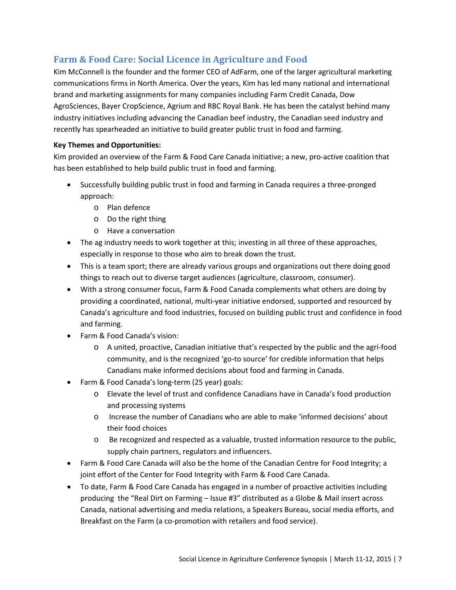### <span id="page-6-0"></span>**Farm & Food Care: Social Licence in Agriculture and Food**

Kim McConnell is the founder and the former CEO of AdFarm, one of the larger agricultural marketing communications firms in North America. Over the years, Kim has led many national and international brand and marketing assignments for many companies including Farm Credit Canada, Dow AgroSciences, Bayer CropScience, Agrium and RBC Royal Bank. He has been the catalyst behind many industry initiatives including advancing the Canadian beef industry, the Canadian seed industry and recently has spearheaded an initiative to build greater public trust in food and farming.

### **Key Themes and Opportunities:**

Kim provided an overview of the Farm & Food Care Canada initiative; a new, pro-active coalition that has been established to help build public trust in food and farming.

- Successfully building public trust in food and farming in Canada requires a three-pronged approach:
	- o Plan defence
	- o Do the right thing
	- o Have a conversation
- The ag industry needs to work together at this; investing in all three of these approaches, especially in response to those who aim to break down the trust.
- This is a team sport; there are already various groups and organizations out there doing good things to reach out to diverse target audiences (agriculture, classroom, consumer).
- With a strong consumer focus, Farm & Food Canada complements what others are doing by providing a coordinated, national, multi-year initiative endorsed, supported and resourced by Canada's agriculture and food industries, focused on building public trust and confidence in food and farming.
- Farm & Food Canada's vision:
	- o A united, proactive, Canadian initiative that's respected by the public and the agri-food community, and is the recognized 'go-to source' for credible information that helps Canadians make informed decisions about food and farming in Canada.
- Farm & Food Canada's long-term (25 year) goals:
	- o Elevate the level of trust and confidence Canadians have in Canada's food production and processing systems
	- o Increase the number of Canadians who are able to make 'informed decisions' about their food choices
	- o Be recognized and respected as a valuable, trusted information resource to the public, supply chain partners, regulators and influencers.
- Farm & Food Care Canada will also be the home of the Canadian Centre for Food Integrity; a joint effort of the Center for Food Integrity with Farm & Food Care Canada.
- To date, Farm & Food Care Canada has engaged in a number of proactive activities including producing the "Real Dirt on Farming – Issue #3" distributed as a Globe & Mail insert across Canada, national advertising and media relations, a Speakers Bureau, social media efforts, and Breakfast on the Farm (a co-promotion with retailers and food service).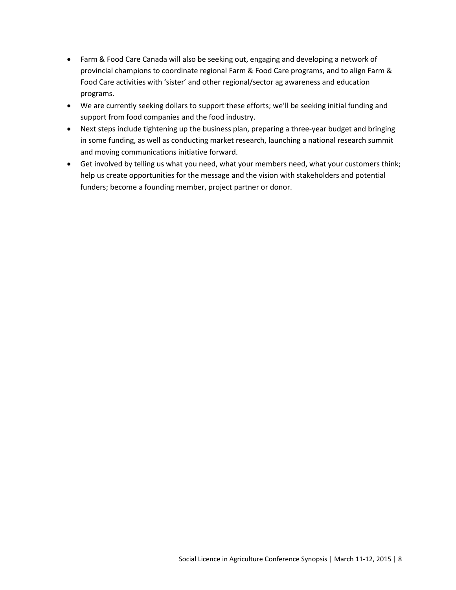- Farm & Food Care Canada will also be seeking out, engaging and developing a network of provincial champions to coordinate regional Farm & Food Care programs, and to align Farm & Food Care activities with 'sister' and other regional/sector ag awareness and education programs.
- We are currently seeking dollars to support these efforts; we'll be seeking initial funding and support from food companies and the food industry.
- Next steps include tightening up the business plan, preparing a three-year budget and bringing in some funding, as well as conducting market research, launching a national research summit and moving communications initiative forward.
- Get involved by telling us what you need, what your members need, what your customers think; help us create opportunities for the message and the vision with stakeholders and potential funders; become a founding member, project partner or donor.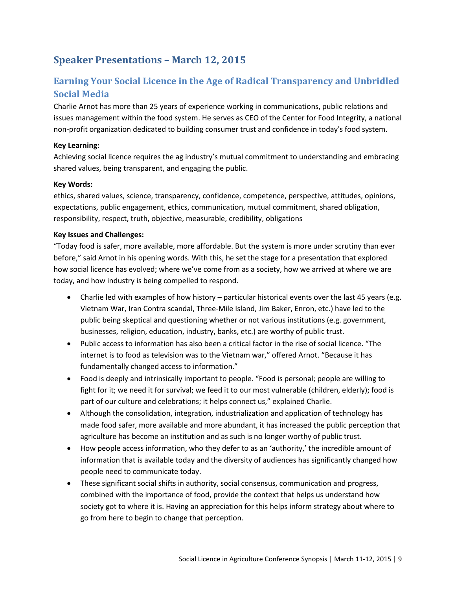# <span id="page-8-0"></span>**Speaker Presentations – March 12, 2015**

# <span id="page-8-1"></span>**Earning Your Social Licence in the Age of Radical Transparency and Unbridled Social Media**

Charlie Arnot has more than 25 years of experience working in communications, public relations and issues management within the food system. He serves as CEO of the Center for Food Integrity, a national non-profit organization dedicated to building consumer trust and confidence in today's food system.

### **Key Learning:**

Achieving social licence requires the ag industry's mutual commitment to understanding and embracing shared values, being transparent, and engaging the public.

#### **Key Words:**

ethics, shared values, science, transparency, confidence, competence, perspective, attitudes, opinions, expectations, public engagement, ethics, communication, mutual commitment, shared obligation, responsibility, respect, truth, objective, measurable, credibility, obligations

#### **Key Issues and Challenges:**

"Today food is safer, more available, more affordable. But the system is more under scrutiny than ever before," said Arnot in his opening words. With this, he set the stage for a presentation that explored how social licence has evolved; where we've come from as a society, how we arrived at where we are today, and how industry is being compelled to respond.

- Charlie led with examples of how history particular historical events over the last 45 years (e.g. Vietnam War, Iran Contra scandal, Three-Mile Island, Jim Baker, Enron, etc.) have led to the public being skeptical and questioning whether or not various institutions (e.g. government, businesses, religion, education, industry, banks, etc.) are worthy of public trust.
- Public access to information has also been a critical factor in the rise of social licence. "The internet is to food as television was to the Vietnam war," offered Arnot. "Because it has fundamentally changed access to information."
- Food is deeply and intrinsically important to people. "Food is personal; people are willing to fight for it; we need it for survival; we feed it to our most vulnerable (children, elderly); food is part of our culture and celebrations; it helps connect us," explained Charlie.
- Although the consolidation, integration, industrialization and application of technology has made food safer, more available and more abundant, it has increased the public perception that agriculture has become an institution and as such is no longer worthy of public trust.
- How people access information, who they defer to as an 'authority,' the incredible amount of information that is available today and the diversity of audiences has significantly changed how people need to communicate today.
- These significant social shifts in authority, social consensus, communication and progress, combined with the importance of food, provide the context that helps us understand how society got to where it is. Having an appreciation for this helps inform strategy about where to go from here to begin to change that perception.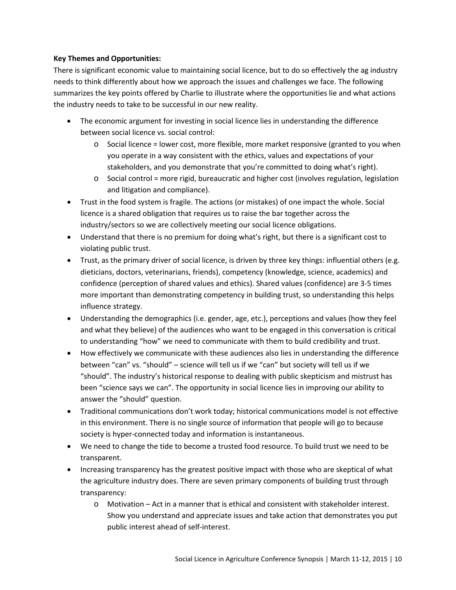### **Key Themes and Opportunities:**

There is significant economic value to maintaining social licence, but to do so effectively the ag industry needs to think differently about how we approach the issues and challenges we face. The following summarizes the key points offered by Charlie to illustrate where the opportunities lie and what actions the industry needs to take to be successful in our new reality.

- The economic argument for investing in social licence lies in understanding the difference between social licence vs. social control:
	- $\circ$  Social licence = lower cost, more flexible, more market responsive (granted to you when you operate in a way consistent with the ethics, values and expectations of your stakeholders, and you demonstrate that you're committed to doing what's right).
	- $\circ$  Social control = more rigid, bureaucratic and higher cost (involves regulation, legislation and litigation and compliance).
- Trust in the food system is fragile. The actions (or mistakes) of one impact the whole. Social licence is a shared obligation that requires us to raise the bar together across the industry/sectors so we are collectively meeting our social licence obligations.
- Understand that there is no premium for doing what's right, but there is a significant cost to violating public trust.
- Trust, as the primary driver of social licence, is driven by three key things: influential others (e.g. dieticians, doctors, veterinarians, friends), competency (knowledge, science, academics) and confidence (perception of shared values and ethics). Shared values (confidence) are 3-5 times more important than demonstrating competency in building trust, so understanding this helps influence strategy.
- Understanding the demographics (i.e. gender, age, etc.), perceptions and values (how they feel and what they believe) of the audiences who want to be engaged in this conversation is critical to understanding "how" we need to communicate with them to build credibility and trust.
- How effectively we communicate with these audiences also lies in understanding the difference between "can" vs. "should" – science will tell us if we "can" but society will tell us if we "should". The industry's historical response to dealing with public skepticism and mistrust has been "science says we can". The opportunity in social licence lies in improving our ability to answer the "should" question.
- Traditional communications don't work today; historical communications model is not effective in this environment. There is no single source of information that people will go to because society is hyper-connected today and information is instantaneous.
- We need to change the tide to become a trusted food resource. To build trust we need to be transparent.
- Increasing transparency has the greatest positive impact with those who are skeptical of what the agriculture industry does. There are seven primary components of building trust through transparency:
	- o Motivation Act in a manner that is ethical and consistent with stakeholder interest. Show you understand and appreciate issues and take action that demonstrates you put public interest ahead of self-interest.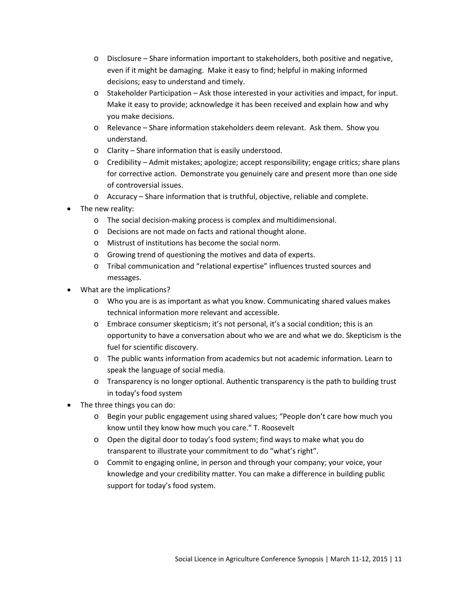- $\circ$  Disclosure Share information important to stakeholders, both positive and negative, even if it might be damaging. Make it easy to find; helpful in making informed decisions; easy to understand and timely.
- o Stakeholder Participation Ask those interested in your activities and impact, for input. Make it easy to provide; acknowledge it has been received and explain how and why you make decisions.
- o Relevance Share information stakeholders deem relevant. Ask them. Show you understand.
- o Clarity Share information that is easily understood.
- o Credibility Admit mistakes; apologize; accept responsibility; engage critics; share plans for corrective action. Demonstrate you genuinely care and present more than one side of controversial issues.
- o Accuracy Share information that is truthful, objective, reliable and complete.
- The new reality:
	- o The social decision-making process is complex and multidimensional.
	- o Decisions are not made on facts and rational thought alone.
	- o Mistrust of institutions has become the social norm.
	- o Growing trend of questioning the motives and data of experts.
	- o Tribal communication and "relational expertise" influences trusted sources and messages.
- What are the implications?
	- o Who you are is as important as what you know. Communicating shared values makes technical information more relevant and accessible.
	- o Embrace consumer skepticism; it's not personal, it's a social condition; this is an opportunity to have a conversation about who we are and what we do. Skepticism is the fuel for scientific discovery.
	- o The public wants information from academics but not academic information. Learn to speak the language of social media.
	- o Transparency is no longer optional. Authentic transparency is the path to building trust in today's food system
- The three things you can do:
	- o Begin your public engagement using shared values; "People don't care how much you know until they know how much you care." T. Roosevelt
	- o Open the digital door to today's food system; find ways to make what you do transparent to illustrate your commitment to do "what's right".
	- o Commit to engaging online, in person and through your company; your voice, your knowledge and your credibility matter. You can make a difference in building public support for today's food system.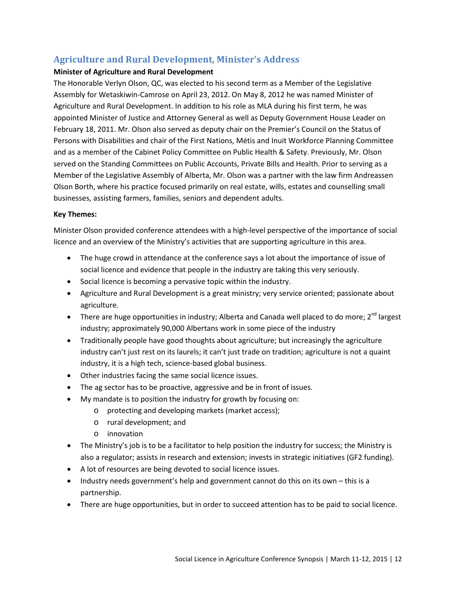### <span id="page-11-0"></span>**Agriculture and Rural Development, Minister's Address**

### **Minister of Agriculture and Rural Development**

The Honorable Verlyn Olson, QC, was elected to his second term as a Member of the Legislative Assembly for Wetaskiwin-Camrose on April 23, 2012. On May 8, 2012 he was named Minister of Agriculture and Rural Development. In addition to his role as MLA during his first term, he was appointed Minister of Justice and Attorney General as well as Deputy Government House Leader on February 18, 2011. Mr. Olson also served as deputy chair on the Premier's Council on the Status of Persons with Disabilities and chair of the First Nations, Métis and Inuit Workforce Planning Committee and as a member of the Cabinet Policy Committee on Public Health & Safety. Previously, Mr. Olson served on the Standing Committees on Public Accounts, Private Bills and Health. Prior to serving as a Member of the Legislative Assembly of Alberta, Mr. Olson was a partner with the law firm Andreassen Olson Borth, where his practice focused primarily on real estate, wills, estates and counselling small businesses, assisting farmers, families, seniors and dependent adults.

#### **Key Themes:**

Minister Olson provided conference attendees with a high-level perspective of the importance of social licence and an overview of the Ministry's activities that are supporting agriculture in this area.

- The huge crowd in attendance at the conference says a lot about the importance of issue of social licence and evidence that people in the industry are taking this very seriously.
- Social licence is becoming a pervasive topic within the industry.
- Agriculture and Rural Development is a great ministry; very service oriented; passionate about agriculture.
- There are huge opportunities in industry; Alberta and Canada well placed to do more;  $2^{nd}$  largest industry; approximately 90,000 Albertans work in some piece of the industry
- Traditionally people have good thoughts about agriculture; but increasingly the agriculture industry can't just rest on its laurels; it can't just trade on tradition; agriculture is not a quaint industry, it is a high tech, science-based global business.
- Other industries facing the same social licence issues.
- The ag sector has to be proactive, aggressive and be in front of issues.
- My mandate is to position the industry for growth by focusing on:
	- o protecting and developing markets (market access);
	- o rural development; and
	- o innovation
- The Ministry's job is to be a facilitator to help position the industry for success; the Ministry is also a regulator; assists in research and extension; invests in strategic initiatives (GF2 funding).
- A lot of resources are being devoted to social licence issues.
- Industry needs government's help and government cannot do this on its own this is a partnership.
- There are huge opportunities, but in order to succeed attention has to be paid to social licence.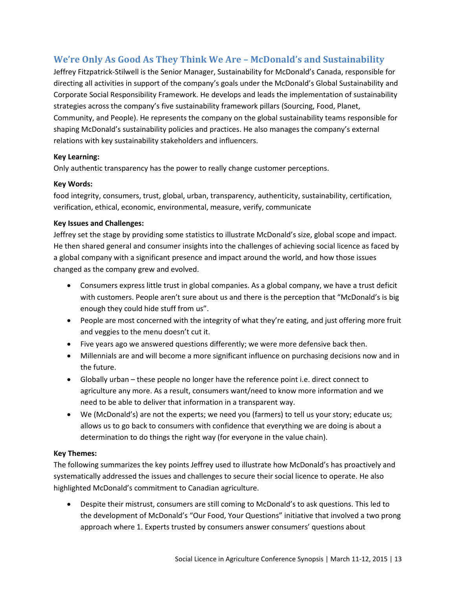### <span id="page-12-0"></span>**We're Only As Good As They Think We Are – McDonald's and Sustainability**

Jeffrey Fitzpatrick-Stilwell is the Senior Manager, Sustainability for McDonald's Canada, responsible for directing all activities in support of the company's goals under the McDonald's Global Sustainability and Corporate Social Responsibility Framework. He develops and leads the implementation of sustainability strategies across the company's five sustainability framework pillars (Sourcing, Food, Planet, Community, and People). He represents the company on the global sustainability teams responsible for shaping McDonald's sustainability policies and practices. He also manages the company's external relations with key sustainability stakeholders and influencers.

### **Key Learning:**

Only authentic transparency has the power to really change customer perceptions.

### **Key Words:**

food integrity, consumers, trust, global, urban, transparency, authenticity, sustainability, certification, verification, ethical, economic, environmental, measure, verify, communicate

### **Key Issues and Challenges:**

Jeffrey set the stage by providing some statistics to illustrate McDonald's size, global scope and impact. He then shared general and consumer insights into the challenges of achieving social licence as faced by a global company with a significant presence and impact around the world, and how those issues changed as the company grew and evolved.

- Consumers express little trust in global companies. As a global company, we have a trust deficit with customers. People aren't sure about us and there is the perception that "McDonald's is big enough they could hide stuff from us".
- People are most concerned with the integrity of what they're eating, and just offering more fruit and veggies to the menu doesn't cut it.
- Five years ago we answered questions differently; we were more defensive back then.
- Millennials are and will become a more significant influence on purchasing decisions now and in the future.
- Globally urban these people no longer have the reference point i.e. direct connect to agriculture any more. As a result, consumers want/need to know more information and we need to be able to deliver that information in a transparent way.
- We (McDonald's) are not the experts; we need you (farmers) to tell us your story; educate us; allows us to go back to consumers with confidence that everything we are doing is about a determination to do things the right way (for everyone in the value chain).

### **Key Themes:**

The following summarizes the key points Jeffrey used to illustrate how McDonald's has proactively and systematically addressed the issues and challenges to secure their social licence to operate. He also highlighted McDonald's commitment to Canadian agriculture.

• Despite their mistrust, consumers are still coming to McDonald's to ask questions. This led to the development of McDonald's "Our Food, Your Questions" initiative that involved a two prong approach where 1. Experts trusted by consumers answer consumers' questions about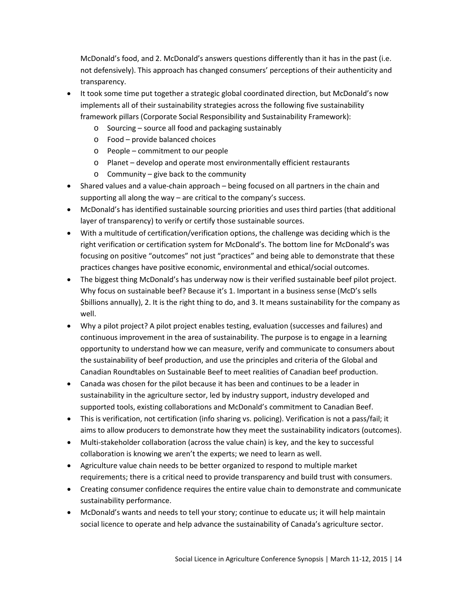McDonald's food, and 2. McDonald's answers questions differently than it has in the past (i.e. not defensively). This approach has changed consumers' perceptions of their authenticity and transparency.

- It took some time put together a strategic global coordinated direction, but McDonald's now implements all of their sustainability strategies across the following five sustainability framework pillars (Corporate Social Responsibility and Sustainability Framework):
	- o Sourcing source all food and packaging sustainably
	- o Food provide balanced choices
	- o People commitment to our people
	- o Planet develop and operate most environmentally efficient restaurants
	- o Community give back to the community
- Shared values and a value-chain approach being focused on all partners in the chain and supporting all along the way – are critical to the company's success.
- McDonald's has identified sustainable sourcing priorities and uses third parties (that additional layer of transparency) to verify or certify those sustainable sources.
- With a multitude of certification/verification options, the challenge was deciding which is the right verification or certification system for McDonald's. The bottom line for McDonald's was focusing on positive "outcomes" not just "practices" and being able to demonstrate that these practices changes have positive economic, environmental and ethical/social outcomes.
- The biggest thing McDonald's has underway now is their verified sustainable beef pilot project. Why focus on sustainable beef? Because it's 1. Important in a business sense (McD's sells \$billions annually), 2. It is the right thing to do, and 3. It means sustainability for the company as well.
- Why a pilot project? A pilot project enables testing, evaluation (successes and failures) and continuous improvement in the area of sustainability. The purpose is to engage in a learning opportunity to understand how we can measure, verify and communicate to consumers about the sustainability of beef production, and use the principles and criteria of the Global and Canadian Roundtables on Sustainable Beef to meet realities of Canadian beef production.
- Canada was chosen for the pilot because it has been and continues to be a leader in sustainability in the agriculture sector, led by industry support, industry developed and supported tools, existing collaborations and McDonald's commitment to Canadian Beef.
- This is verification, not certification (info sharing vs. policing). Verification is not a pass/fail; it aims to allow producers to demonstrate how they meet the sustainability indicators (outcomes).
- Multi-stakeholder collaboration (across the value chain) is key, and the key to successful collaboration is knowing we aren't the experts; we need to learn as well.
- Agriculture value chain needs to be better organized to respond to multiple market requirements; there is a critical need to provide transparency and build trust with consumers.
- Creating consumer confidence requires the entire value chain to demonstrate and communicate sustainability performance.
- McDonald's wants and needs to tell your story; continue to educate us; it will help maintain social licence to operate and help advance the sustainability of Canada's agriculture sector.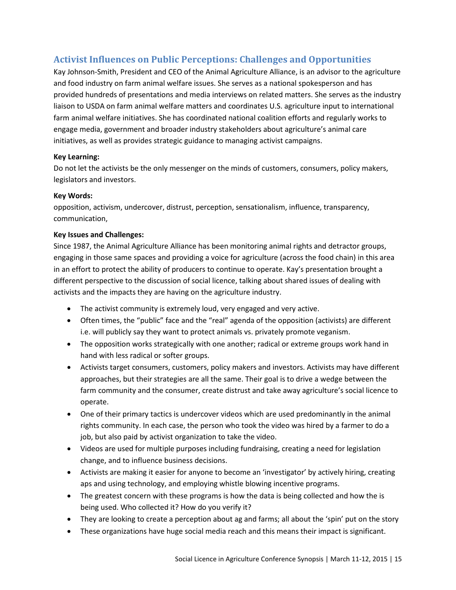### <span id="page-14-0"></span>**Activist Influences on Public Perceptions: Challenges and Opportunities**

Kay Johnson-Smith, President and CEO of the Animal Agriculture Alliance, is an advisor to the agriculture and food industry on farm animal welfare issues. She serves as a national spokesperson and has provided hundreds of presentations and media interviews on related matters. She serves as the industry liaison to USDA on farm animal welfare matters and coordinates U.S. agriculture input to international farm animal welfare initiatives. She has coordinated national coalition efforts and regularly works to engage media, government and broader industry stakeholders about agriculture's animal care initiatives, as well as provides strategic guidance to managing activist campaigns.

### **Key Learning:**

Do not let the activists be the only messenger on the minds of customers, consumers, policy makers, legislators and investors.

### **Key Words:**

opposition, activism, undercover, distrust, perception, sensationalism, influence, transparency, communication,

### **Key Issues and Challenges:**

Since 1987, the Animal Agriculture Alliance has been monitoring animal rights and detractor groups, engaging in those same spaces and providing a voice for agriculture (across the food chain) in this area in an effort to protect the ability of producers to continue to operate. Kay's presentation brought a different perspective to the discussion of social licence, talking about shared issues of dealing with activists and the impacts they are having on the agriculture industry.

- The activist community is extremely loud, very engaged and very active.
- Often times, the "public" face and the "real" agenda of the opposition (activists) are different i.e. will publicly say they want to protect animals vs. privately promote veganism.
- The opposition works strategically with one another; radical or extreme groups work hand in hand with less radical or softer groups.
- Activists target consumers, customers, policy makers and investors. Activists may have different approaches, but their strategies are all the same. Their goal is to drive a wedge between the farm community and the consumer, create distrust and take away agriculture's social licence to operate.
- One of their primary tactics is undercover videos which are used predominantly in the animal rights community. In each case, the person who took the video was hired by a farmer to do a job, but also paid by activist organization to take the video.
- Videos are used for multiple purposes including fundraising, creating a need for legislation change, and to influence business decisions.
- Activists are making it easier for anyone to become an 'investigator' by actively hiring, creating aps and using technology, and employing whistle blowing incentive programs.
- The greatest concern with these programs is how the data is being collected and how the is being used. Who collected it? How do you verify it?
- They are looking to create a perception about ag and farms; all about the 'spin' put on the story
- These organizations have huge social media reach and this means their impact is significant.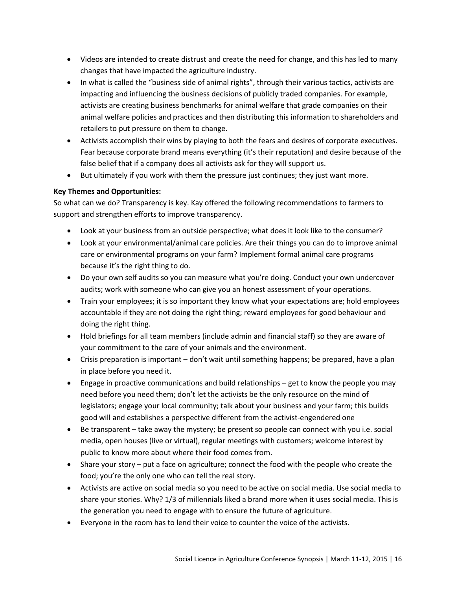- Videos are intended to create distrust and create the need for change, and this has led to many changes that have impacted the agriculture industry.
- In what is called the "business side of animal rights", through their various tactics, activists are impacting and influencing the business decisions of publicly traded companies. For example, activists are creating business benchmarks for animal welfare that grade companies on their animal welfare policies and practices and then distributing this information to shareholders and retailers to put pressure on them to change.
- Activists accomplish their wins by playing to both the fears and desires of corporate executives. Fear because corporate brand means everything (it's their reputation) and desire because of the false belief that if a company does all activists ask for they will support us.
- But ultimately if you work with them the pressure just continues; they just want more.

### **Key Themes and Opportunities:**

So what can we do? Transparency is key. Kay offered the following recommendations to farmers to support and strengthen efforts to improve transparency.

- Look at your business from an outside perspective; what does it look like to the consumer?
- Look at your environmental/animal care policies. Are their things you can do to improve animal care or environmental programs on your farm? Implement formal animal care programs because it's the right thing to do.
- Do your own self audits so you can measure what you're doing. Conduct your own undercover audits; work with someone who can give you an honest assessment of your operations.
- Train your employees; it is so important they know what your expectations are; hold employees accountable if they are not doing the right thing; reward employees for good behaviour and doing the right thing.
- Hold briefings for all team members (include admin and financial staff) so they are aware of your commitment to the care of your animals and the environment.
- Crisis preparation is important don't wait until something happens; be prepared, have a plan in place before you need it.
- Engage in proactive communications and build relationships get to know the people you may need before you need them; don't let the activists be the only resource on the mind of legislators; engage your local community; talk about your business and your farm; this builds good will and establishes a perspective different from the activist-engendered one
- Be transparent take away the mystery; be present so people can connect with you i.e. social media, open houses (live or virtual), regular meetings with customers; welcome interest by public to know more about where their food comes from.
- Share your story put a face on agriculture; connect the food with the people who create the food; you're the only one who can tell the real story.
- Activists are active on social media so you need to be active on social media. Use social media to share your stories. Why? 1/3 of millennials liked a brand more when it uses social media. This is the generation you need to engage with to ensure the future of agriculture.
- Everyone in the room has to lend their voice to counter the voice of the activists.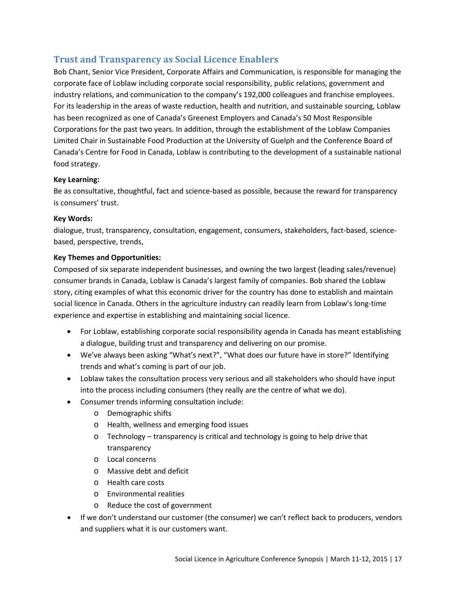### <span id="page-16-0"></span>**Trust and Transparency as Social Licence Enablers**

Bob Chant, Senior Vice President, Corporate Affairs and Communication, is responsible for managing the corporate face of Loblaw including corporate social responsibility, public relations, government and industry relations, and communication to the company's 192,000 colleagues and franchise employees. For its leadership in the areas of waste reduction, health and nutrition, and sustainable sourcing, Loblaw has been recognized as one of Canada's Greenest Employers and Canada's 50 Most Responsible Corporations for the past two years. In addition, through the establishment of the Loblaw Companies Limited Chair in Sustainable Food Production at the University of Guelph and the Conference Board of Canada's Centre for Food in Canada, Loblaw is contributing to the development of a sustainable national food strategy.

### **Key Learning:**

Be as consultative, thoughtful, fact and science-based as possible, because the reward for transparency is consumers' trust.

### **Key Words:**

dialogue, trust, transparency, consultation, engagement, consumers, stakeholders, fact-based, sciencebased, perspective, trends,

### **Key Themes and Opportunities:**

Composed of six separate independent businesses, and owning the two largest (leading sales/revenue) consumer brands in Canada, Loblaw is Canada's largest family of companies. Bob shared the Loblaw story, citing examples of what this economic driver for the country has done to establish and maintain social licence in Canada. Others in the agriculture industry can readily learn from Loblaw's long-time experience and expertise in establishing and maintaining social licence.

- For Loblaw, establishing corporate social responsibility agenda in Canada has meant establishing a dialogue, building trust and transparency and delivering on our promise.
- We've always been asking "What's next?", "What does our future have in store?" Identifying trends and what's coming is part of our job.
- Loblaw takes the consultation process very serious and all stakeholders who should have input into the process including consumers (they really are the centre of what we do).
- Consumer trends informing consultation include:
	- o Demographic shifts
	- o Health, wellness and emerging food issues
	- $\circ$  Technology transparency is critical and technology is going to help drive that transparency
	- o Local concerns
	- o Massive debt and deficit
	- o Health care costs
	- o Environmental realities
	- o Reduce the cost of government
- If we don't understand our customer (the consumer) we can't reflect back to producers, vendors and suppliers what it is our customers want.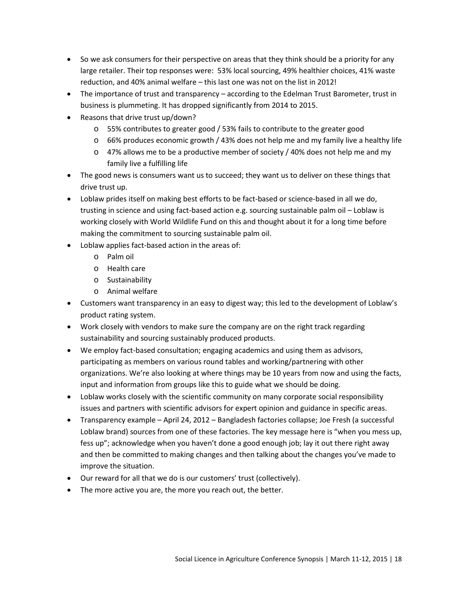- So we ask consumers for their perspective on areas that they think should be a priority for any large retailer. Their top responses were: 53% local sourcing, 49% healthier choices, 41% waste reduction, and 40% animal welfare – this last one was not on the list in 2012!
- The importance of trust and transparency according to the Edelman Trust Barometer, trust in business is plummeting. It has dropped significantly from 2014 to 2015.
- Reasons that drive trust up/down?
	- o 55% contributes to greater good / 53% fails to contribute to the greater good
	- o 66% produces economic growth / 43% does not help me and my family live a healthy life
	- $\circ$  47% allows me to be a productive member of society / 40% does not help me and my family live a fulfilling life
- The good news is consumers want us to succeed; they want us to deliver on these things that drive trust up.
- Loblaw prides itself on making best efforts to be fact-based or science-based in all we do, trusting in science and using fact-based action e.g. sourcing sustainable palm oil – Loblaw is working closely with World Wildlife Fund on this and thought about it for a long time before making the commitment to sourcing sustainable palm oil.
- Loblaw applies fact-based action in the areas of:
	- o Palm oil
	- o Health care
	- o Sustainability
	- o Animal welfare
- Customers want transparency in an easy to digest way; this led to the development of Loblaw's product rating system.
- Work closely with vendors to make sure the company are on the right track regarding sustainability and sourcing sustainably produced products.
- We employ fact-based consultation; engaging academics and using them as advisors, participating as members on various round tables and working/partnering with other organizations. We're also looking at where things may be 10 years from now and using the facts, input and information from groups like this to guide what we should be doing.
- Loblaw works closely with the scientific community on many corporate social responsibility issues and partners with scientific advisors for expert opinion and guidance in specific areas.
- Transparency example April 24, 2012 Bangladesh factories collapse; Joe Fresh (a successful Loblaw brand) sources from one of these factories. The key message here is "when you mess up, fess up"; acknowledge when you haven't done a good enough job; lay it out there right away and then be committed to making changes and then talking about the changes you've made to improve the situation.
- Our reward for all that we do is our customers' trust (collectively).
- The more active you are, the more you reach out, the better.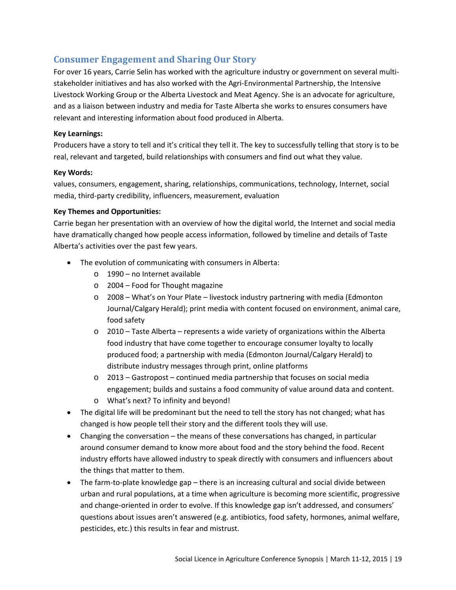### <span id="page-18-0"></span>**Consumer Engagement and Sharing Our Story**

For over 16 years, Carrie Selin has worked with the agriculture industry or government on several multistakeholder initiatives and has also worked with the Agri-Environmental Partnership, the Intensive Livestock Working Group or the Alberta Livestock and Meat Agency. She is an advocate for agriculture, and as a liaison between industry and media for Taste Alberta she works to ensures consumers have relevant and interesting information about food produced in Alberta.

### **Key Learnings:**

Producers have a story to tell and it's critical they tell it. The key to successfully telling that story is to be real, relevant and targeted, build relationships with consumers and find out what they value.

### **Key Words:**

values, consumers, engagement, sharing, relationships, communications, technology, Internet, social media, third-party credibility, influencers, measurement, evaluation

### **Key Themes and Opportunities:**

Carrie began her presentation with an overview of how the digital world, the Internet and social media have dramatically changed how people access information, followed by timeline and details of Taste Alberta's activities over the past few years.

- The evolution of communicating with consumers in Alberta:
	- o 1990 no Internet available
	- o 2004 Food for Thought magazine
	- o 2008 What's on Your Plate livestock industry partnering with media (Edmonton Journal/Calgary Herald); print media with content focused on environment, animal care, food safety
	- o 2010 Taste Alberta represents a wide variety of organizations within the Alberta food industry that have come together to encourage consumer loyalty to locally produced food; a partnership with media (Edmonton Journal/Calgary Herald) to distribute industry messages through print, online platforms
	- o 2013 Gastropost continued media partnership that focuses on social media engagement; builds and sustains a food community of value around data and content.
	- o What's next? To infinity and beyond!
- The digital life will be predominant but the need to tell the story has not changed; what has changed is how people tell their story and the different tools they will use.
- Changing the conversation the means of these conversations has changed, in particular around consumer demand to know more about food and the story behind the food. Recent industry efforts have allowed industry to speak directly with consumers and influencers about the things that matter to them.
- The farm-to-plate knowledge gap there is an increasing cultural and social divide between urban and rural populations, at a time when agriculture is becoming more scientific, progressive and change-oriented in order to evolve. If this knowledge gap isn't addressed, and consumers' questions about issues aren't answered (e.g. antibiotics, food safety, hormones, animal welfare, pesticides, etc.) this results in fear and mistrust.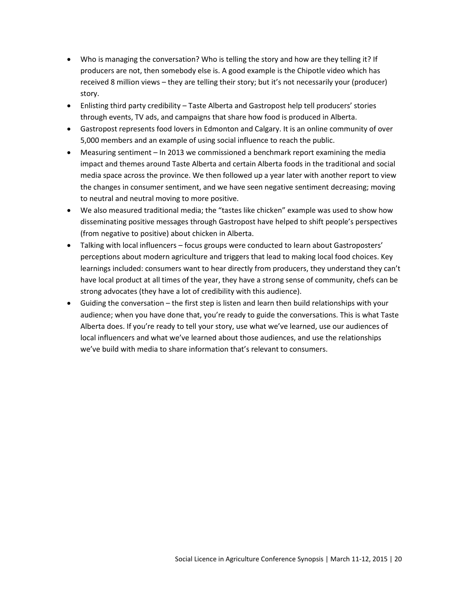- Who is managing the conversation? Who is telling the story and how are they telling it? If producers are not, then somebody else is. A good example is the Chipotle video which has received 8 million views – they are telling their story; but it's not necessarily your (producer) story.
- Enlisting third party credibility Taste Alberta and Gastropost help tell producers' stories through events, TV ads, and campaigns that share how food is produced in Alberta.
- Gastropost represents food lovers in Edmonton and Calgary. It is an online community of over 5,000 members and an example of using social influence to reach the public.
- Measuring sentiment In 2013 we commissioned a benchmark report examining the media impact and themes around Taste Alberta and certain Alberta foods in the traditional and social media space across the province. We then followed up a year later with another report to view the changes in consumer sentiment, and we have seen negative sentiment decreasing; moving to neutral and neutral moving to more positive.
- We also measured traditional media; the "tastes like chicken" example was used to show how disseminating positive messages through Gastropost have helped to shift people's perspectives (from negative to positive) about chicken in Alberta.
- Talking with local influencers focus groups were conducted to learn about Gastroposters' perceptions about modern agriculture and triggers that lead to making local food choices. Key learnings included: consumers want to hear directly from producers, they understand they can't have local product at all times of the year, they have a strong sense of community, chefs can be strong advocates (they have a lot of credibility with this audience).
- Guiding the conversation the first step is listen and learn then build relationships with your audience; when you have done that, you're ready to guide the conversations. This is what Taste Alberta does. If you're ready to tell your story, use what we've learned, use our audiences of local influencers and what we've learned about those audiences, and use the relationships we've build with media to share information that's relevant to consumers.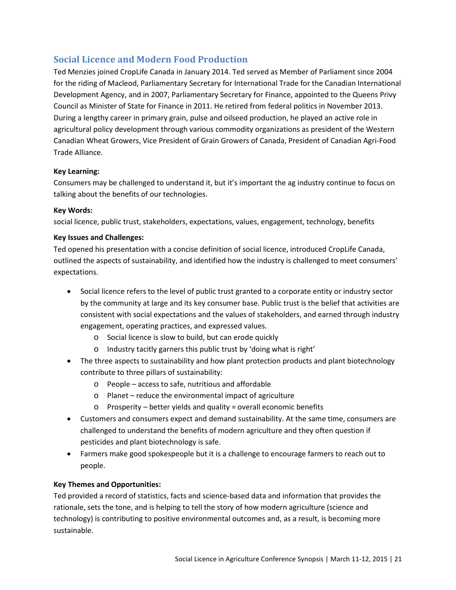### <span id="page-20-0"></span>**Social Licence and Modern Food Production**

Ted Menzies joined CropLife Canada in January 2014. Ted served as Member of Parliament since 2004 for the riding of Macleod, Parliamentary Secretary for International Trade for the Canadian International Development Agency, and in 2007, Parliamentary Secretary for Finance, appointed to the Queens Privy Council as Minister of State for Finance in 2011. He retired from federal politics in November 2013. During a lengthy career in primary grain, pulse and oilseed production, he played an active role in agricultural policy development through various commodity organizations as president of the Western Canadian Wheat Growers, Vice President of Grain Growers of Canada, President of Canadian Agri-Food Trade Alliance.

### **Key Learning:**

Consumers may be challenged to understand it, but it's important the ag industry continue to focus on talking about the benefits of our technologies.

### **Key Words:**

social licence, public trust, stakeholders, expectations, values, engagement, technology, benefits

### **Key Issues and Challenges:**

Ted opened his presentation with a concise definition of social licence, introduced CropLife Canada, outlined the aspects of sustainability, and identified how the industry is challenged to meet consumers' expectations.

- Social licence refers to the level of public trust granted to a corporate entity or industry sector by the community at large and its key consumer base. Public trust is the belief that activities are consistent with social expectations and the values of stakeholders, and earned through industry engagement, operating practices, and expressed values.
	- o Social licence is slow to build, but can erode quickly
	- o Industry tacitly garners this public trust by 'doing what is right'
- The three aspects to sustainability and how plant protection products and plant biotechnology contribute to three pillars of sustainability:
	- o People access to safe, nutritious and affordable
	- o Planet reduce the environmental impact of agriculture
	- o Prosperity better yields and quality = overall economic benefits
- Customers and consumers expect and demand sustainability. At the same time, consumers are challenged to understand the benefits of modern agriculture and they often question if pesticides and plant biotechnology is safe.
- Farmers make good spokespeople but it is a challenge to encourage farmers to reach out to people.

### **Key Themes and Opportunities:**

Ted provided a record of statistics, facts and science-based data and information that provides the rationale, sets the tone, and is helping to tell the story of how modern agriculture (science and technology) is contributing to positive environmental outcomes and, as a result, is becoming more sustainable.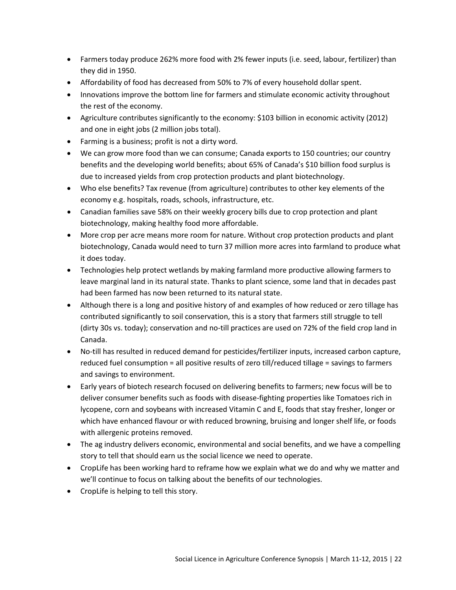- Farmers today produce 262% more food with 2% fewer inputs (i.e. seed, labour, fertilizer) than they did in 1950.
- Affordability of food has decreased from 50% to 7% of every household dollar spent.
- Innovations improve the bottom line for farmers and stimulate economic activity throughout the rest of the economy.
- Agriculture contributes significantly to the economy: \$103 billion in economic activity (2012) and one in eight jobs (2 million jobs total).
- Farming is a business; profit is not a dirty word.
- We can grow more food than we can consume; Canada exports to 150 countries; our country benefits and the developing world benefits; about 65% of Canada's \$10 billion food surplus is due to increased yields from crop protection products and plant biotechnology.
- Who else benefits? Tax revenue (from agriculture) contributes to other key elements of the economy e.g. hospitals, roads, schools, infrastructure, etc.
- Canadian families save 58% on their weekly grocery bills due to crop protection and plant biotechnology, making healthy food more affordable.
- More crop per acre means more room for nature. Without crop protection products and plant biotechnology, Canada would need to turn 37 million more acres into farmland to produce what it does today.
- Technologies help protect wetlands by making farmland more productive allowing farmers to leave marginal land in its natural state. Thanks to plant science, some land that in decades past had been farmed has now been returned to its natural state.
- Although there is a long and positive history of and examples of how reduced or zero tillage has contributed significantly to soil conservation, this is a story that farmers still struggle to tell (dirty 30s vs. today); conservation and no-till practices are used on 72% of the field crop land in Canada.
- No-till has resulted in reduced demand for pesticides/fertilizer inputs, increased carbon capture, reduced fuel consumption = all positive results of zero till/reduced tillage = savings to farmers and savings to environment.
- Early years of biotech research focused on delivering benefits to farmers; new focus will be to deliver consumer benefits such as foods with disease-fighting properties like Tomatoes rich in lycopene, corn and soybeans with increased Vitamin C and E, foods that stay fresher, longer or which have enhanced flavour or with reduced browning, bruising and longer shelf life, or foods with allergenic proteins removed.
- The ag industry delivers economic, environmental and social benefits, and we have a compelling story to tell that should earn us the social licence we need to operate.
- CropLife has been working hard to reframe how we explain what we do and why we matter and we'll continue to focus on talking about the benefits of our technologies.
- CropLife is helping to tell this story.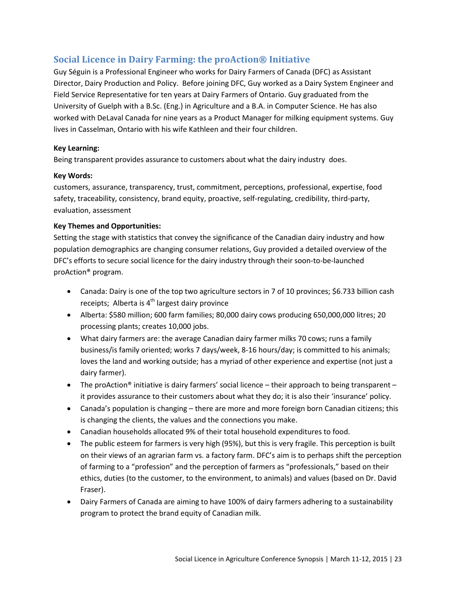### <span id="page-22-0"></span>**Social Licence in Dairy Farming: the proAction® Initiative**

Guy Séguin is a Professional Engineer who works for Dairy Farmers of Canada (DFC) as Assistant Director, Dairy Production and Policy. Before joining DFC, Guy worked as a Dairy System Engineer and Field Service Representative for ten years at Dairy Farmers of Ontario. Guy graduated from the University of Guelph with a B.Sc. (Eng.) in Agriculture and a B.A. in Computer Science. He has also worked with DeLaval Canada for nine years as a Product Manager for milking equipment systems. Guy lives in Casselman, Ontario with his wife Kathleen and their four children.

#### **Key Learning:**

Being transparent provides assurance to customers about what the dairy industry does.

### **Key Words:**

customers, assurance, transparency, trust, commitment, perceptions, professional, expertise, food safety, traceability, consistency, brand equity, proactive, self-regulating, credibility, third-party, evaluation, assessment

### **Key Themes and Opportunities:**

Setting the stage with statistics that convey the significance of the Canadian dairy industry and how population demographics are changing consumer relations, Guy provided a detailed overview of the DFC's efforts to secure social licence for the dairy industry through their soon-to-be-launched proAction® program.

- Canada: Dairy is one of the top two agriculture sectors in 7 of 10 provinces; \$6.733 billion cash receipts; Alberta is  $4^{th}$  largest dairy province
- Alberta: \$580 million; 600 farm families; 80,000 dairy cows producing 650,000,000 litres; 20 processing plants; creates 10,000 jobs.
- What dairy farmers are: the average Canadian dairy farmer milks 70 cows; runs a family business/is family oriented; works 7 days/week, 8-16 hours/day; is committed to his animals; loves the land and working outside; has a myriad of other experience and expertise (not just a dairy farmer).
- The proAction® initiative is dairy farmers' social licence their approach to being transparent it provides assurance to their customers about what they do; it is also their 'insurance' policy.
- Canada's population is changing there are more and more foreign born Canadian citizens; this is changing the clients, the values and the connections you make.
- Canadian households allocated 9% of their total household expenditures to food.
- The public esteem for farmers is very high (95%), but this is very fragile. This perception is built on their views of an agrarian farm vs. a factory farm. DFC's aim is to perhaps shift the perception of farming to a "profession" and the perception of farmers as "professionals," based on their ethics, duties (to the customer, to the environment, to animals) and values (based on Dr. David Fraser).
- Dairy Farmers of Canada are aiming to have 100% of dairy farmers adhering to a sustainability program to protect the brand equity of Canadian milk.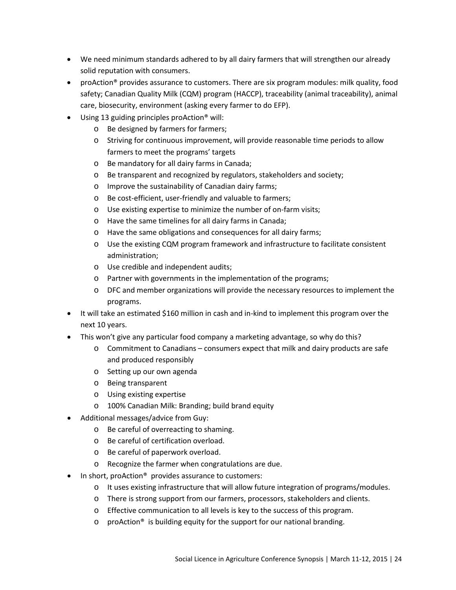- We need minimum standards adhered to by all dairy farmers that will strengthen our already solid reputation with consumers.
- proAction® provides assurance to customers. There are six program modules: milk quality, food safety; Canadian Quality Milk (CQM) program (HACCP), traceability (animal traceability), animal care, biosecurity, environment (asking every farmer to do EFP).
- Using 13 guiding principles proAction® will:
	- o Be designed by farmers for farmers;
	- o Striving for continuous improvement, will provide reasonable time periods to allow farmers to meet the programs' targets
	- o Be mandatory for all dairy farms in Canada;
	- o Be transparent and recognized by regulators, stakeholders and society;
	- o Improve the sustainability of Canadian dairy farms;
	- o Be cost-efficient, user-friendly and valuable to farmers;
	- o Use existing expertise to minimize the number of on-farm visits;
	- o Have the same timelines for all dairy farms in Canada;
	- o Have the same obligations and consequences for all dairy farms;
	- o Use the existing CQM program framework and infrastructure to facilitate consistent administration;
	- o Use credible and independent audits;
	- o Partner with governments in the implementation of the programs;
	- o DFC and member organizations will provide the necessary resources to implement the programs.
- It will take an estimated \$160 million in cash and in-kind to implement this program over the next 10 years.
- This won't give any particular food company a marketing advantage, so why do this?
	- o Commitment to Canadians consumers expect that milk and dairy products are safe and produced responsibly
	- o Setting up our own agenda
	- o Being transparent
	- o Using existing expertise
	- o 100% Canadian Milk: Branding; build brand equity
- Additional messages/advice from Guy:
	- o Be careful of overreacting to shaming.
	- o Be careful of certification overload.
	- o Be careful of paperwork overload.
	- o Recognize the farmer when congratulations are due.
- In short, proAction<sup>®</sup> provides assurance to customers:
	- o It uses existing infrastructure that will allow future integration of programs/modules.
	- o There is strong support from our farmers, processors, stakeholders and clients.
	- o Effective communication to all levels is key to the success of this program.
	- o proAction® is building equity for the support for our national branding.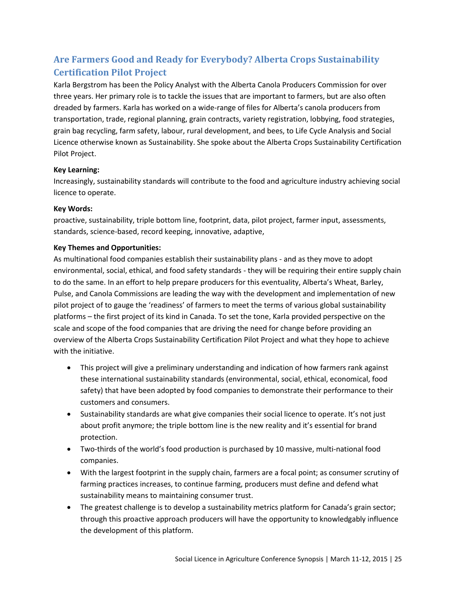# <span id="page-24-0"></span>**Are Farmers Good and Ready for Everybody? Alberta Crops Sustainability Certification Pilot Project**

Karla Bergstrom has been the Policy Analyst with the Alberta Canola Producers Commission for over three years. Her primary role is to tackle the issues that are important to farmers, but are also often dreaded by farmers. Karla has worked on a wide-range of files for Alberta's canola producers from transportation, trade, regional planning, grain contracts, variety registration, lobbying, food strategies, grain bag recycling, farm safety, labour, rural development, and bees, to Life Cycle Analysis and Social Licence otherwise known as Sustainability. She spoke about the Alberta Crops Sustainability Certification Pilot Project.

### **Key Learning:**

Increasingly, sustainability standards will contribute to the food and agriculture industry achieving social licence to operate.

#### **Key Words:**

proactive, sustainability, triple bottom line, footprint, data, pilot project, farmer input, assessments, standards, science-based, record keeping, innovative, adaptive,

### **Key Themes and Opportunities:**

As multinational food companies establish their sustainability plans - and as they move to adopt environmental, social, ethical, and food safety standards - they will be requiring their entire supply chain to do the same. In an effort to help prepare producers for this eventuality, Alberta's Wheat, Barley, Pulse, and Canola Commissions are leading the way with the development and implementation of new pilot project of to gauge the 'readiness' of farmers to meet the terms of various global sustainability platforms – the first project of its kind in Canada. To set the tone, Karla provided perspective on the scale and scope of the food companies that are driving the need for change before providing an overview of the Alberta Crops Sustainability Certification Pilot Project and what they hope to achieve with the initiative.

- This project will give a preliminary understanding and indication of how farmers rank against these international sustainability standards (environmental, social, ethical, economical, food safety) that have been adopted by food companies to demonstrate their performance to their customers and consumers.
- Sustainability standards are what give companies their social licence to operate. It's not just about profit anymore; the triple bottom line is the new reality and it's essential for brand protection.
- Two-thirds of the world's food production is purchased by 10 massive, multi-national food companies.
- With the largest footprint in the supply chain, farmers are a focal point; as consumer scrutiny of farming practices increases, to continue farming, producers must define and defend what sustainability means to maintaining consumer trust.
- The greatest challenge is to develop a sustainability metrics platform for Canada's grain sector; through this proactive approach producers will have the opportunity to knowledgably influence the development of this platform.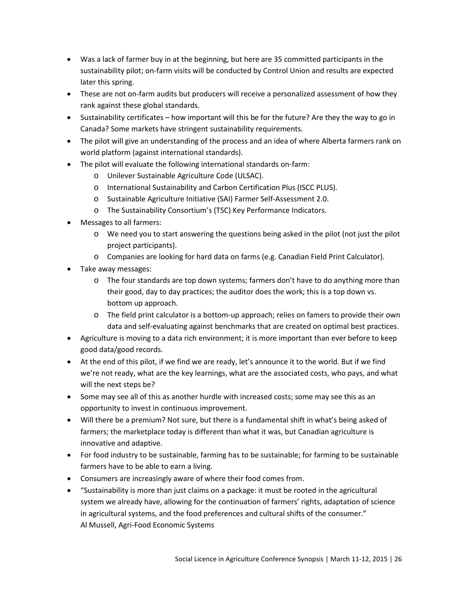- Was a lack of farmer buy in at the beginning, but here are 35 committed participants in the sustainability pilot; on-farm visits will be conducted by Control Union and results are expected later this spring.
- These are not on-farm audits but producers will receive a personalized assessment of how they rank against these global standards.
- Sustainability certificates how important will this be for the future? Are they the way to go in Canada? Some markets have stringent sustainability requirements.
- The pilot will give an understanding of the process and an idea of where Alberta farmers rank on world platform (against international standards).
- The pilot will evaluate the following international standards on-farm:
	- o Unilever Sustainable Agriculture Code (ULSAC).
	- o International Sustainability and Carbon Certification Plus (ISCC PLUS).
	- o Sustainable Agriculture Initiative (SAI) Farmer Self-Assessment 2.0.
	- o The Sustainability Consortium's (TSC) Key Performance Indicators.
- Messages to all farmers:
	- o We need you to start answering the questions being asked in the pilot (not just the pilot project participants).
	- o Companies are looking for hard data on farms (e.g. Canadian Field Print Calculator).
- Take away messages:
	- $\circ$  The four standards are top down systems; farmers don't have to do anything more than their good, day to day practices; the auditor does the work; this is a top down vs. bottom up approach.
	- o The field print calculator is a bottom-up approach; relies on famers to provide their own data and self-evaluating against benchmarks that are created on optimal best practices.
- Agriculture is moving to a data rich environment; it is more important than ever before to keep good data/good records.
- At the end of this pilot, if we find we are ready, let's announce it to the world. But if we find we're not ready, what are the key learnings, what are the associated costs, who pays, and what will the next steps be?
- Some may see all of this as another hurdle with increased costs; some may see this as an opportunity to invest in continuous improvement.
- Will there be a premium? Not sure, but there is a fundamental shift in what's being asked of farmers; the marketplace today is different than what it was, but Canadian agriculture is innovative and adaptive.
- For food industry to be sustainable, farming has to be sustainable; for farming to be sustainable farmers have to be able to earn a living.
- Consumers are increasingly aware of where their food comes from.
- "Sustainability is more than just claims on a package: it must be rooted in the agricultural system we already have, allowing for the continuation of farmers' rights, adaptation of science in agricultural systems, and the food preferences and cultural shifts of the consumer." Al Mussell, Agri-Food Economic Systems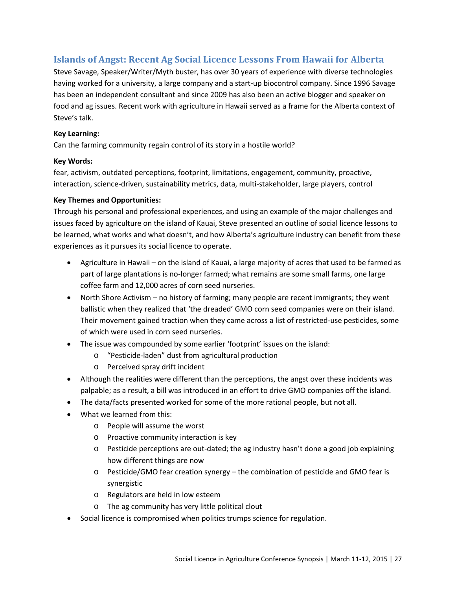### <span id="page-26-0"></span>**Islands of Angst: Recent Ag Social Licence Lessons From Hawaii for Alberta**

Steve Savage, Speaker/Writer/Myth buster, has over 30 years of experience with diverse technologies having worked for a university, a large company and a start-up biocontrol company. Since 1996 Savage has been an independent consultant and since 2009 has also been an active blogger and speaker on food and ag issues. Recent work with agriculture in Hawaii served as a frame for the Alberta context of Steve's talk.

### **Key Learning:**

Can the farming community regain control of its story in a hostile world?

### **Key Words:**

fear, activism, outdated perceptions, footprint, limitations, engagement, community, proactive, interaction, science-driven, sustainability metrics, data, multi-stakeholder, large players, control

### **Key Themes and Opportunities:**

Through his personal and professional experiences, and using an example of the major challenges and issues faced by agriculture on the island of Kauai, Steve presented an outline of social licence lessons to be learned, what works and what doesn't, and how Alberta's agriculture industry can benefit from these experiences as it pursues its social licence to operate.

- Agriculture in Hawaii on the island of Kauai, a large majority of acres that used to be farmed as part of large plantations is no-longer farmed; what remains are some small farms, one large coffee farm and 12,000 acres of corn seed nurseries.
- North Shore Activism no history of farming; many people are recent immigrants; they went ballistic when they realized that 'the dreaded' GMO corn seed companies were on their island. Their movement gained traction when they came across a list of restricted-use pesticides, some of which were used in corn seed nurseries.
- The issue was compounded by some earlier 'footprint' issues on the island:
	- o "Pesticide-laden" dust from agricultural production
	- o Perceived spray drift incident
- Although the realities were different than the perceptions, the angst over these incidents was palpable; as a result, a bill was introduced in an effort to drive GMO companies off the island.
- The data/facts presented worked for some of the more rational people, but not all.
- What we learned from this:
	- o People will assume the worst
	- o Proactive community interaction is key
	- o Pesticide perceptions are out-dated; the ag industry hasn't done a good job explaining how different things are now
	- o Pesticide/GMO fear creation synergy the combination of pesticide and GMO fear is synergistic
	- o Regulators are held in low esteem
	- o The ag community has very little political clout
- Social licence is compromised when politics trumps science for regulation.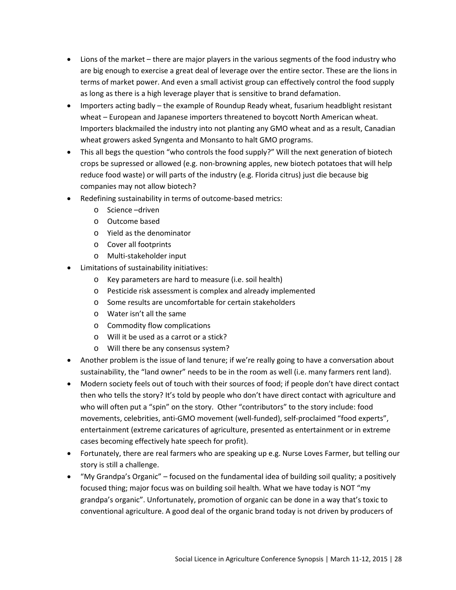- Lions of the market there are major players in the various segments of the food industry who are big enough to exercise a great deal of leverage over the entire sector. These are the lions in terms of market power. And even a small activist group can effectively control the food supply as long as there is a high leverage player that is sensitive to brand defamation.
- Importers acting badly the example of Roundup Ready wheat, fusarium headblight resistant wheat – European and Japanese importers threatened to boycott North American wheat. Importers blackmailed the industry into not planting any GMO wheat and as a result, Canadian wheat growers asked Syngenta and Monsanto to halt GMO programs.
- This all begs the question "who controls the food supply?" Will the next generation of biotech crops be supressed or allowed (e.g. non-browning apples, new biotech potatoes that will help reduce food waste) or will parts of the industry (e.g. Florida citrus) just die because big companies may not allow biotech?
- Redefining sustainability in terms of outcome-based metrics:
	- o Science –driven
	- o Outcome based
	- o Yield as the denominator
	- o Cover all footprints
	- o Multi-stakeholder input
- Limitations of sustainability initiatives:
	- o Key parameters are hard to measure (i.e. soil health)
	- o Pesticide risk assessment is complex and already implemented
	- o Some results are uncomfortable for certain stakeholders
	- o Water isn't all the same
	- o Commodity flow complications
	- o Will it be used as a carrot or a stick?
	- o Will there be any consensus system?
- Another problem is the issue of land tenure; if we're really going to have a conversation about sustainability, the "land owner" needs to be in the room as well (i.e. many farmers rent land).
- Modern society feels out of touch with their sources of food; if people don't have direct contact then who tells the story? It's told by people who don't have direct contact with agriculture and who will often put a "spin" on the story. Other "contributors" to the story include: food movements, celebrities, anti-GMO movement (well-funded), self-proclaimed "food experts", entertainment (extreme caricatures of agriculture, presented as entertainment or in extreme cases becoming effectively hate speech for profit).
- Fortunately, there are real farmers who are speaking up e.g. Nurse Loves Farmer, but telling our story is still a challenge.
- "My Grandpa's Organic" focused on the fundamental idea of building soil quality; a positively focused thing; major focus was on building soil health. What we have today is NOT "my grandpa's organic". Unfortunately, promotion of organic can be done in a way that's toxic to conventional agriculture. A good deal of the organic brand today is not driven by producers of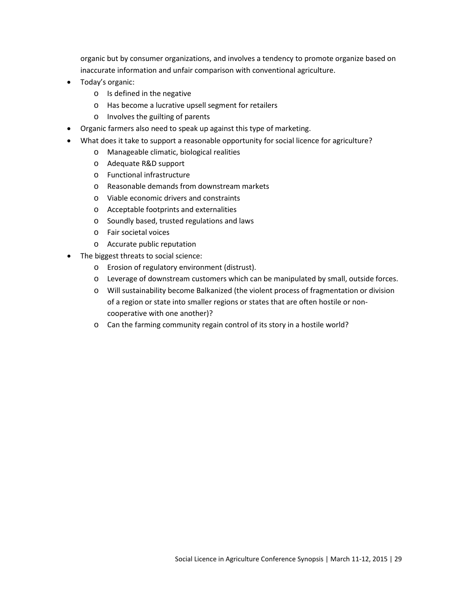organic but by consumer organizations, and involves a tendency to promote organize based on inaccurate information and unfair comparison with conventional agriculture.

- Today's organic:
	- o Is defined in the negative
	- o Has become a lucrative upsell segment for retailers
	- o Involves the guilting of parents
- Organic farmers also need to speak up against this type of marketing.
- What does it take to support a reasonable opportunity for social licence for agriculture?
	- o Manageable climatic, biological realities
	- o Adequate R&D support
	- o Functional infrastructure
	- o Reasonable demands from downstream markets
	- o Viable economic drivers and constraints
	- o Acceptable footprints and externalities
	- o Soundly based, trusted regulations and laws
	- o Fair societal voices
	- o Accurate public reputation
- The biggest threats to social science:
	- o Erosion of regulatory environment (distrust).
	- o Leverage of downstream customers which can be manipulated by small, outside forces.
	- o Will sustainability become Balkanized (the violent process of fragmentation or division of a region or state into smaller regions or states that are often hostile or noncooperative with one another)?
	- o Can the farming community regain control of its story in a hostile world?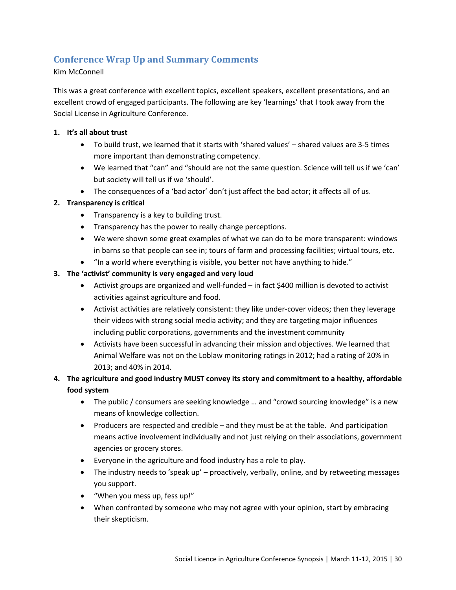### <span id="page-29-0"></span>**Conference Wrap Up and Summary Comments**

### Kim McConnell

This was a great conference with excellent topics, excellent speakers, excellent presentations, and an excellent crowd of engaged participants. The following are key 'learnings' that I took away from the Social License in Agriculture Conference.

#### **1. It's all about trust**

- To build trust, we learned that it starts with 'shared values' shared values are 3-5 times more important than demonstrating competency.
- We learned that "can" and "should are not the same question. Science will tell us if we 'can' but society will tell us if we 'should'.
- The consequences of a 'bad actor' don't just affect the bad actor; it affects all of us.

### **2. Transparency is critical**

- Transparency is a key to building trust.
- Transparency has the power to really change perceptions.
- We were shown some great examples of what we can do to be more transparent: windows in barns so that people can see in; tours of farm and processing facilities; virtual tours, etc.
- "In a world where everything is visible, you better not have anything to hide."

### **3. The 'activist' community is very engaged and very loud**

- Activist groups are organized and well-funded in fact \$400 million is devoted to activist activities against agriculture and food.
- Activist activities are relatively consistent: they like under-cover videos; then they leverage their videos with strong social media activity; and they are targeting major influences including public corporations, governments and the investment community
- Activists have been successful in advancing their mission and objectives. We learned that Animal Welfare was not on the Loblaw monitoring ratings in 2012; had a rating of 20% in 2013; and 40% in 2014.

### **4. The agriculture and good industry MUST convey its story and commitment to a healthy, affordable food system**

- The public / consumers are seeking knowledge ... and "crowd sourcing knowledge" is a new means of knowledge collection.
- Producers are respected and credible and they must be at the table. And participation means active involvement individually and not just relying on their associations, government agencies or grocery stores.
- Everyone in the agriculture and food industry has a role to play.
- The industry needs to 'speak up' proactively, verbally, online, and by retweeting messages you support.
- "When you mess up, fess up!"
- When confronted by someone who may not agree with your opinion, start by embracing their skepticism.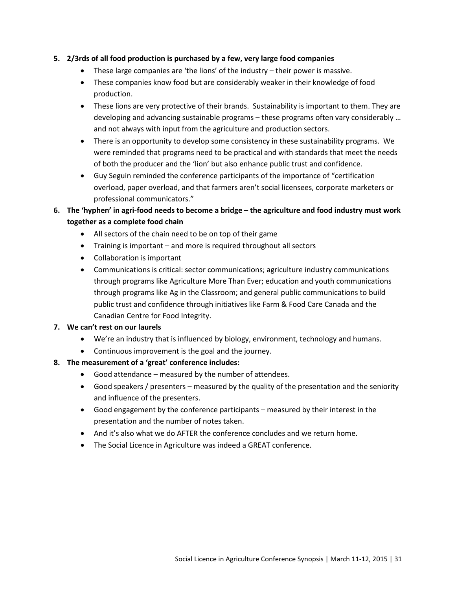### **5. 2/3rds of all food production is purchased by a few, very large food companies**

- These large companies are 'the lions' of the industry their power is massive.
- These companies know food but are considerably weaker in their knowledge of food production.
- These lions are very protective of their brands. Sustainability is important to them. They are developing and advancing sustainable programs – these programs often vary considerably … and not always with input from the agriculture and production sectors.
- There is an opportunity to develop some consistency in these sustainability programs. We were reminded that programs need to be practical and with standards that meet the needs of both the producer and the 'lion' but also enhance public trust and confidence.
- Guy Seguin reminded the conference participants of the importance of "certification overload, paper overload, and that farmers aren't social licensees, corporate marketers or professional communicators."
- **6. The 'hyphen' in agri-food needs to become a bridge – the agriculture and food industry must work together as a complete food chain**
	- All sectors of the chain need to be on top of their game
	- Training is important and more is required throughout all sectors
	- Collaboration is important
	- Communications is critical: sector communications; agriculture industry communications through programs like Agriculture More Than Ever; education and youth communications through programs like Ag in the Classroom; and general public communications to build public trust and confidence through initiatives like Farm & Food Care Canada and the Canadian Centre for Food Integrity.

### **7. We can't rest on our laurels**

- We're an industry that is influenced by biology, environment, technology and humans.
- Continuous improvement is the goal and the journey.

### **8. The measurement of a 'great' conference includes:**

- Good attendance measured by the number of attendees.
- Good speakers / presenters measured by the quality of the presentation and the seniority and influence of the presenters.
- Good engagement by the conference participants measured by their interest in the presentation and the number of notes taken.
- And it's also what we do AFTER the conference concludes and we return home.
- The Social Licence in Agriculture was indeed a GREAT conference.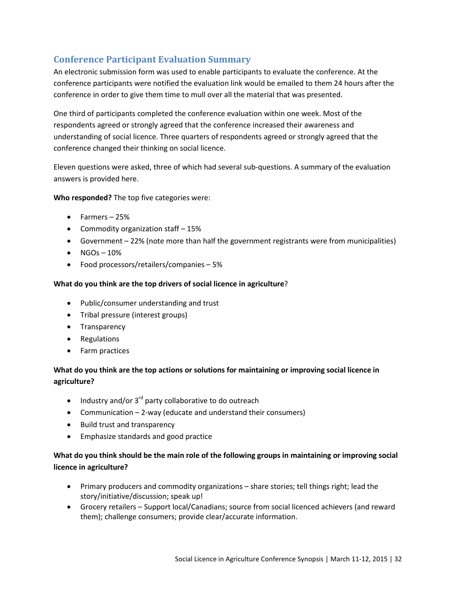### <span id="page-31-0"></span>**Conference Participant Evaluation Summary**

An electronic submission form was used to enable participants to evaluate the conference. At the conference participants were notified the evaluation link would be emailed to them 24 hours after the conference in order to give them time to mull over all the material that was presented.

One third of participants completed the conference evaluation within one week. Most of the respondents agreed or strongly agreed that the conference increased their awareness and understanding of social licence. Three quarters of respondents agreed or strongly agreed that the conference changed their thinking on social licence.

Eleven questions were asked, three of which had several sub-questions. A summary of the evaluation answers is provided here.

**Who responded?** The top five categories were:

- Farmers 25%
- Commodity organization staff 15%
- Government 22% (note more than half the government registrants were from municipalities)
- $\bullet$  NGOs 10%
- Food processors/retailers/companies 5%

### **What do you think are the top drivers of social licence in agriculture**?

- Public/consumer understanding and trust
- Tribal pressure (interest groups)
- Transparency
- Regulations
- Farm practices

### **What do you think are the top actions or solutions for maintaining or improving social licence in agriculture?**

- Industry and/or  $3^{rd}$  party collaborative to do outreach
- Communication 2-way (educate and understand their consumers)
- Build trust and transparency
- Emphasize standards and good practice

### **What do you think should be the main role of the following groups in maintaining or improving social licence in agriculture?**

- Primary producers and commodity organizations share stories; tell things right; lead the story/initiative/discussion; speak up!
- Grocery retailers Support local/Canadians; source from social licenced achievers (and reward them); challenge consumers; provide clear/accurate information.